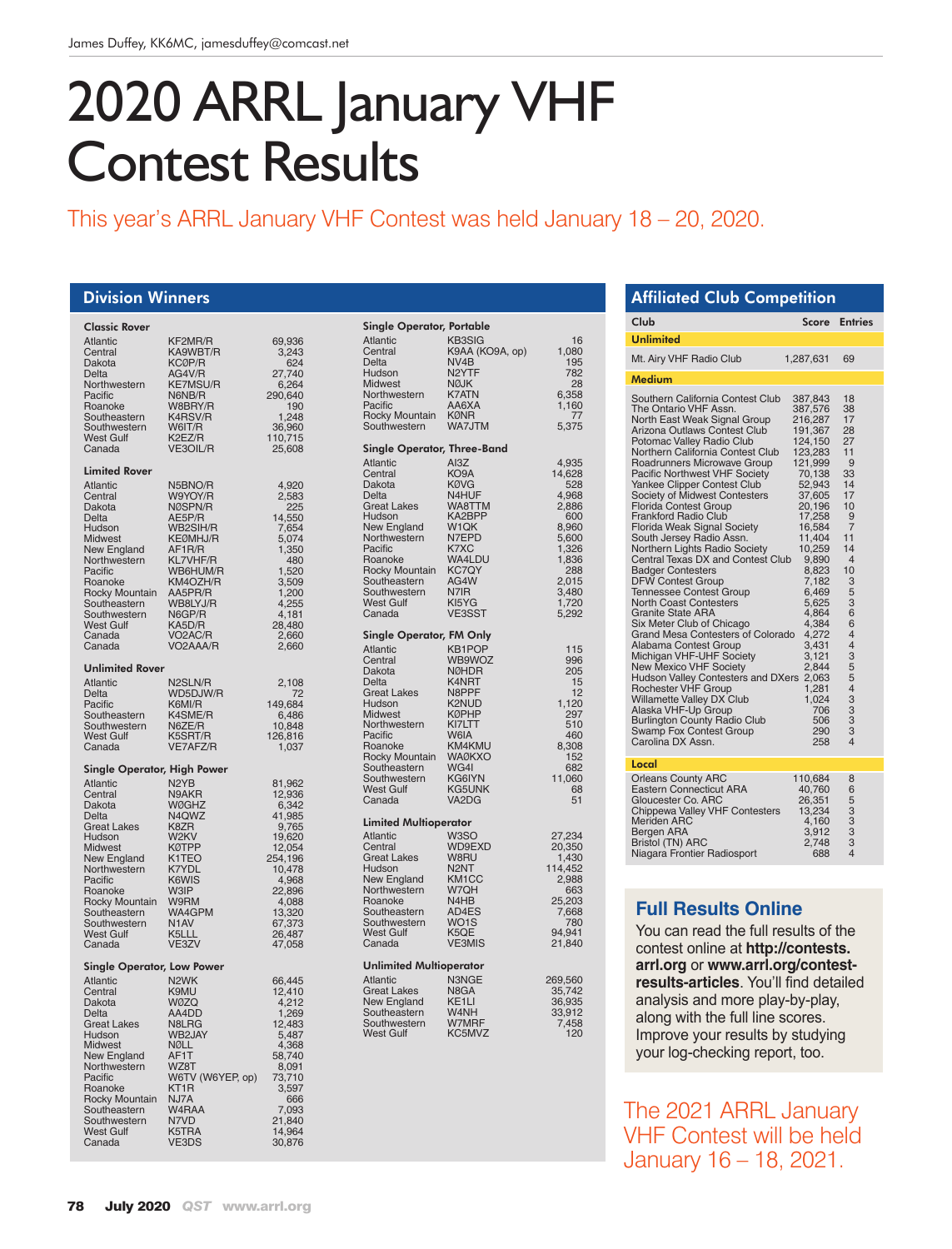# 2020 ARRL January VHF Contest Results

## This year's ARRL January VHF Contest was held January 18 – 20, 2020.

#### Division Winners

| <b>Classic Rover</b>              |                            |                            |
|-----------------------------------|----------------------------|----------------------------|
| Atlantic                          | KF2MR/R                    | 69,936                     |
| Central                           | KA9WBT/R<br>KCØP/R         | 3,243                      |
| Dakota                            |                            | 624                        |
| Delta<br>Northwestern             | AG4V/R<br><b>KE7MSU/R</b>  | 27,740<br>6,264            |
| Pacific                           | N6NB/R                     | 290,640                    |
| Roanoke                           | W8BRY/R                    | 190                        |
| Southeastern                      | K4RSV/R                    | 1,248                      |
| Southwestern                      | W6IT/R                     | 36,960                     |
| West Gulf                         | K2EZ/R                     | 110,715                    |
| Canada                            | VE3OIL/R                   | 25,608                     |
| Limited Rover                     |                            |                            |
| Atlantic                          | N5BNO/R                    | 4,920                      |
| Central                           | W9YOY/R                    | 2,583<br>225               |
| Dakota                            | NØSPN/R<br>AE5P/R          |                            |
| Delta<br>Hudson                   | WB2SIH/R                   | 14,550                     |
| Midwest                           | KEØMHJ/R                   | 7,654<br>5,074             |
| <b>New England</b>                | AF1R/R<br>KL7VHF/R         | 1,350                      |
| Northwestern                      |                            | 480                        |
| Pacific                           | WB6HUM/R                   | 1,520                      |
| Roanoke                           | KM4OZH/R<br>AA5PR/R        | 3,509                      |
| Rocky Mountain<br>Southeastern    | WB8LYJ/R                   | 1,200<br>4,255             |
| Southwestern                      | N6GP/R                     | 4,181                      |
| West Gulf                         | KA5D/R                     | 28,480                     |
| Canada                            | VO2AC/R                    | 2,660                      |
| Canada                            | VO2AAA/R                   | 2,660                      |
| <b>Unlimited Rover</b>            |                            |                            |
| <b>Atlantic</b>                   | N2SLN/R                    | 2,108                      |
| Delta                             | WD5DJW/R                   | 72                         |
| Pacific                           | K6MI/R                     | 149,684                    |
| Southeastern                      | K4SME/R                    | 6,486                      |
| Southwestern<br>West Gulf         | N6ZE/R                     | 10,848                     |
| Canada                            | K5SRT/R<br>VE7AFZ/R        | 126,816<br>1,037           |
|                                   |                            |                            |
| Single Operator, High Power       |                            |                            |
| Atlantic<br>Central               | N <sub>2</sub> YB<br>N9AKR | 81,962<br>12,936           |
| Dakota                            | WØGHZ                      | 6,342                      |
| Delta                             | N <sub>4</sub> QWZ         | 41,985                     |
| <b>Great Lakes</b>                | K8ZR                       | 9,765                      |
| Hudson                            | W2KV                       | 19,620                     |
| <b>Midwest</b><br>New England     | KØTPP<br>K1TEO             | 12,054                     |
| Northwestern                      | K7YDL                      | 254,196<br>10,478          |
| Pacific                           | K6WIS                      | 4,968                      |
| Roanoke                           | W3IP                       | 22,896                     |
| Rocky Mountain                    | W9RM                       | 4,088                      |
| Southeastern                      | WA4GPM                     |                            |
| Southwestern<br>West Gulf         | N <sub>1</sub> AV<br>K5LLL | 13,320<br>67,373<br>26,487 |
| Canada                            | VE3ZV                      | 47,058                     |
|                                   |                            |                            |
| <b>Single Operator, Low Power</b> |                            |                            |
| Atlantic                          | N <sub>2</sub> WK          | 66,445                     |
| Central<br>Dakota                 | K9MU<br>WØZQ               | 12,410<br>4,212            |
| Delta                             | AA4DD                      | 1,269                      |
| <b>Great Lakes</b>                | N8LRG                      | 12,483                     |
| Hudson                            | WB2JAY                     | 5,487                      |
| Midwest                           | NØLL                       |                            |
| New England                       | AF1T                       | 4,368                      |
| Northwestern<br>Pacific           | WZ8T<br>W6TV (W6YEP, op)   | 8,091<br>73,710            |
| Roanoke                           |                            | 3,597                      |
| <b>Rocky Mountain</b>             | KT1R<br>NJ7A               | 666                        |
| Southeastern                      | W4RAA                      | 7,093                      |
| Southwestern<br><b>West Gulf</b>  | N7VD<br>K5TRA              | 21,840<br>14,964           |
| Canada                            | <b>VE3DS</b>               | 30,876                     |
|                                   |                            |                            |

| <b>Single Operator, Portable</b> |                            |                  |
|----------------------------------|----------------------------|------------------|
| <b>Atlantic</b>                  | <b>KB3SIG</b>              | 16               |
| Central                          | K9AA (KO9A, op)            | 1,080            |
| Delta                            | NV4B                       | 195              |
| Hudson<br><b>Midwest</b>         | N <sub>2</sub> YTF<br>NØJK | 782<br>28        |
| Northwestern                     | <b>K7ATN</b>               | 6,358            |
| Pacific                          | AA6XA                      | 1,160            |
| Rocky Mountain                   | <b>KØNR</b>                | 77               |
| Southwestern                     | WA7JTM                     | 5,375            |
| Single Operator, Three-Band      |                            |                  |
| <b>Atlantic</b>                  | AI3Z                       | 4,935            |
| Central                          | KO9A                       | 14,628           |
| Dakota                           | <b>KØVG</b>                | 528              |
| Delta                            | N4HUF                      | 4,968            |
| <b>Great Lakes</b>               | WA8TTM                     | 2,886            |
| Hudson<br><b>New England</b>     | KA2BPP<br>W1QK             | 600<br>8,960     |
| Northwestern                     | N7EPD                      | 5,600            |
| Pacific                          | K7XC                       | 1,326            |
| Roanoke                          | WA4LDU                     | 1,836            |
| Rocky Mountain                   | <b>KC7QY</b>               | 288              |
| Southeastern                     | AG4W                       | 2,015            |
| Southwestern                     | N7IR                       | 3,480            |
| <b>West Gulf</b><br>Canada       | KI5YG<br>VE3SST            | 1,720<br>5,292   |
|                                  |                            |                  |
| <b>Single Operator, FM Only</b>  |                            |                  |
| <b>Atlantic</b>                  | <b>KB1POP</b>              | 115              |
| Central                          | WB9WOZ                     | 996              |
| Dakota<br>Delta                  | <b>NØHDR</b><br>K4NRT      | 205<br>15        |
| <b>Great Lakes</b>               | N8PPF                      | 12               |
| Hudson                           | K2NUD                      | 1,120            |
| <b>Midwest</b>                   | <b>KØPHP</b>               | 297              |
| Northwestern                     | KI7LTT                     | 510              |
| Pacific                          | W6IA                       | 460              |
| Roanoke                          | KM4KMU                     | 8,308            |
| Rocky Mountain                   | <b>WAØKXO</b>              | 152              |
| Southeastern<br>Southwestern     | WG4I<br>KG6IYN             | 682              |
| <b>West Gulf</b>                 | <b>KG5UNK</b>              | 11,060<br>68     |
| Canada                           | VA2DG                      | 51               |
| <b>Limited Multioperator</b>     |                            |                  |
| <b>Atlantic</b>                  | W3SO                       | 27,234           |
| Central                          | WD9EXD                     | 20,350           |
| <b>Great Lakes</b>               | W8RU                       |                  |
| Hudson                           | N2NT                       | 1,430<br>114,452 |
| New England                      | KM <sub>1</sub> CC         | 2,988            |
| Northwestern                     | W7QH                       | 663              |
| Roanoke                          | N4HB                       | 25,203           |
| Southeastern<br>Southwestern     | AD4ES<br>WO1S              | 7,668<br>780     |
| West Gulf                        | K5OE                       | 94,941           |
| Canada                           | <b>VE3MIS</b>              | 21,840           |
| <b>Unlimited Multioperator</b>   |                            |                  |
| <b>Atlantic</b>                  | N3NGE                      | 269,560          |
| <b>Great Lakes</b>               | N8GA                       | 35,742           |
| New England                      | KE <sub>1</sub> LI         | 36,935           |
| Southeastern                     | W4NH                       | 33,912           |
| Southwestern                     | W7MRF                      | 7,458            |
| <b>West Gulf</b>                 | KC5MVZ                     | 120              |
|                                  |                            |                  |
|                                  |                            |                  |

## Affiliated Club Competition Club Score Entries Unlimited Mt. Airy VHF Radio Club 1,287,631 69 Medium Southern California Contest Club 387,843 18 The Ontario VHF Assn. 387,576 38 North East Weak Signal Group 216,287 17<br>Arizona Outlaws Contest Club 191,367 28<br>Potomac Valley Radio Club 124,150 27 Arizona Outlaws Contest Club 191,367 28 Potomac Valley Radio Club 124,150 27 Northern California Contest Club 123,283 11<br>
Roadrunners Microwave Group 121,999 9<br>
Pacific Northwest VHF Society 70,138 33 Roadrunners Microwave Group 121,999 9<br>Pacific Northwest VHF Society 70,138 33 Pacific Northwest VHF Society 70,138 33<br>
Yankee Clinner Contest Club 52,943 14 Yankee Clipper Contest Club 52,943 14 Society of Midwest Contesters 37,605 17 Florida Contest Group 20,196 10 Frankford Radio Club 17,258 9<br>
Florida Weak Signal Society 16,584 7<br>
South Jersey Radio Assn. 11,404 11 Florida Weak Signal Society 16,584 7 South Jersey Radio Assn. 11,404 11 Northern Lights Radio Society 10,259 14<br>Central Texas DX and Contest Club 9,890 4<br>Badger Contesters 8,823 10 Central Texas DX and Contest Club 9,890 4 Badger Contesters 8,823 10 DFW Contest Group 7,182 3<br>Tennessee Contest Group 6,469 5 once Contest Group 6,469 5<br>Tennessee Contest Group 6,469 5<br>North Coast Contesters 5,625 3 North Coast Contesters 5,625 3<br>Granite State ARA 6 4,864 6 Six Meter Club of Chicago 4,384 6 Grand Mesa Contesters of Colorado 4,272 4 Alabama Contest Group<br>
Alabama Contest Group<br>
Michigan VHF-UHF Society<br>
New Mexico VHF Society<br>
2.844 5 Michigan VHF-UHF Society 3,121 3 New Mexico VHF Society 2,844 5 Hudson Valley Contesters and DXers 2,063 5 Rochester VHF Group 1,281 4 Willamette Valley DX Club 1,024 3 Alaska VHF-Up Group 706 3 Burlington County Radio Club 506 3 Swamp Fox Contest Group 290 3 Carolina DX Assn. 258 4 Local Orleans County ARC 110,684 8<br>Eastern Connecticut ARA 40.760 6 Eastern Connecticut ARA 40,760 6 Gloucester Co. ARC 26,351 5 Chippewa Valley VHF Contesters 13,234 3 Meriden ARC 4,160 3 Bergen ARA 3,912 3 Bristol (TN) ARC 2,748 3 Niagara Frontier Radiosport 688

## **Full Results Online**

You can read the full results of the contest online at **http://contests. arrl.org** or **www.arrl.org/contestresults-articles**. You'll find detailed analysis and more play-by-play, along with the full line scores. Improve your results by studying your log-checking report, too.

The 2021 ARRL January VHF Contest will be held January 16 – 18, 2021.